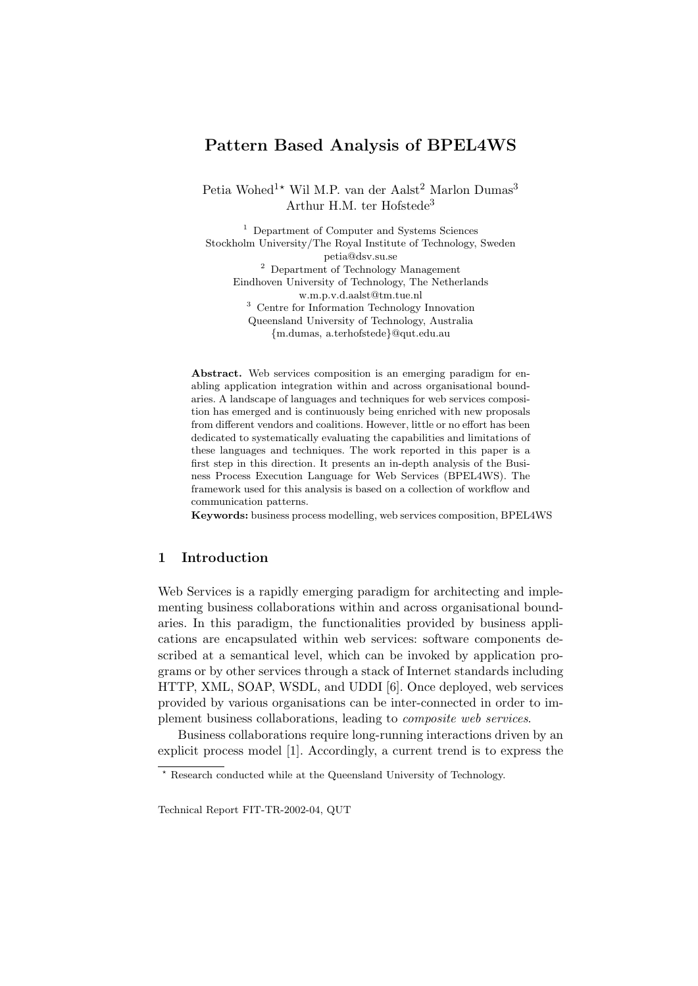Petia Wohed<sup>1\*</sup> Wil M.P. van der Aalst<sup>2</sup> Marlon Dumas<sup>3</sup> Arthur H.M. ter Hofstede<sup>3</sup>

<sup>1</sup> Department of Computer and Systems Sciences Stockholm University/The Royal Institute of Technology, Sweden petia@dsv.su.se <sup>2</sup> Department of Technology Management Eindhoven University of Technology, The Netherlands w.m.p.v.d.aalst@tm.tue.nl <sup>3</sup> Centre for Information Technology Innovation Queensland University of Technology, Australia {m.dumas, a.terhofstede}@qut.edu.au

Abstract. Web services composition is an emerging paradigm for enabling application integration within and across organisational boundaries. A landscape of languages and techniques for web services composition has emerged and is continuously being enriched with new proposals from different vendors and coalitions. However, little or no effort has been dedicated to systematically evaluating the capabilities and limitations of these languages and techniques. The work reported in this paper is a first step in this direction. It presents an in-depth analysis of the Business Process Execution Language for Web Services (BPEL4WS). The framework used for this analysis is based on a collection of workflow and communication patterns.

Keywords: business process modelling, web services composition, BPEL4WS

## 1 Introduction

Web Services is a rapidly emerging paradigm for architecting and implementing business collaborations within and across organisational boundaries. In this paradigm, the functionalities provided by business applications are encapsulated within web services: software components described at a semantical level, which can be invoked by application programs or by other services through a stack of Internet standards including HTTP, XML, SOAP, WSDL, and UDDI [6]. Once deployed, web services provided by various organisations can be inter-connected in order to implement business collaborations, leading to composite web services.

Business collaborations require long-running interactions driven by an explicit process model [1]. Accordingly, a current trend is to express the

 $^{\star}$  Research conducted while at the Queensland University of Technology.

Technical Report FIT-TR-2002-04, QUT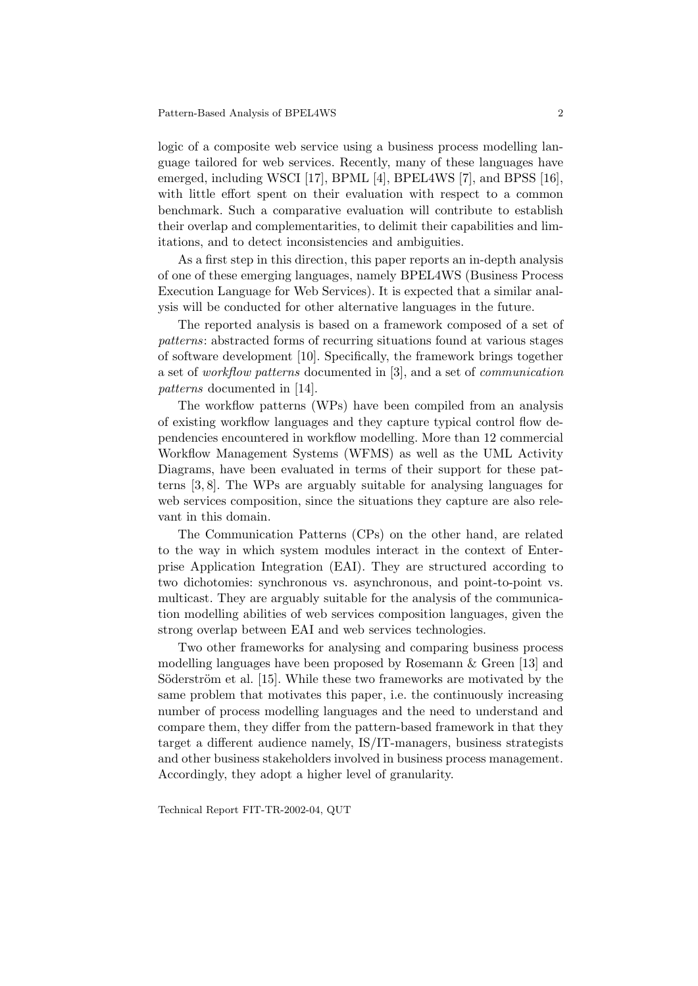logic of a composite web service using a business process modelling language tailored for web services. Recently, many of these languages have emerged, including WSCI [17], BPML [4], BPEL4WS [7], and BPSS [16], with little effort spent on their evaluation with respect to a common benchmark. Such a comparative evaluation will contribute to establish their overlap and complementarities, to delimit their capabilities and limitations, and to detect inconsistencies and ambiguities.

As a first step in this direction, this paper reports an in-depth analysis of one of these emerging languages, namely BPEL4WS (Business Process Execution Language for Web Services). It is expected that a similar analysis will be conducted for other alternative languages in the future.

The reported analysis is based on a framework composed of a set of patterns: abstracted forms of recurring situations found at various stages of software development [10]. Specifically, the framework brings together a set of workflow patterns documented in [3], and a set of communication patterns documented in [14].

The workflow patterns (WPs) have been compiled from an analysis of existing workflow languages and they capture typical control flow dependencies encountered in workflow modelling. More than 12 commercial Workflow Management Systems (WFMS) as well as the UML Activity Diagrams, have been evaluated in terms of their support for these patterns [3, 8]. The WPs are arguably suitable for analysing languages for web services composition, since the situations they capture are also relevant in this domain.

The Communication Patterns (CPs) on the other hand, are related to the way in which system modules interact in the context of Enterprise Application Integration (EAI). They are structured according to two dichotomies: synchronous vs. asynchronous, and point-to-point vs. multicast. They are arguably suitable for the analysis of the communication modelling abilities of web services composition languages, given the strong overlap between EAI and web services technologies.

Two other frameworks for analysing and comparing business process modelling languages have been proposed by Rosemann & Green [13] and Söderström et al. [15]. While these two frameworks are motivated by the same problem that motivates this paper, i.e. the continuously increasing number of process modelling languages and the need to understand and compare them, they differ from the pattern-based framework in that they target a different audience namely, IS/IT-managers, business strategists and other business stakeholders involved in business process management. Accordingly, they adopt a higher level of granularity.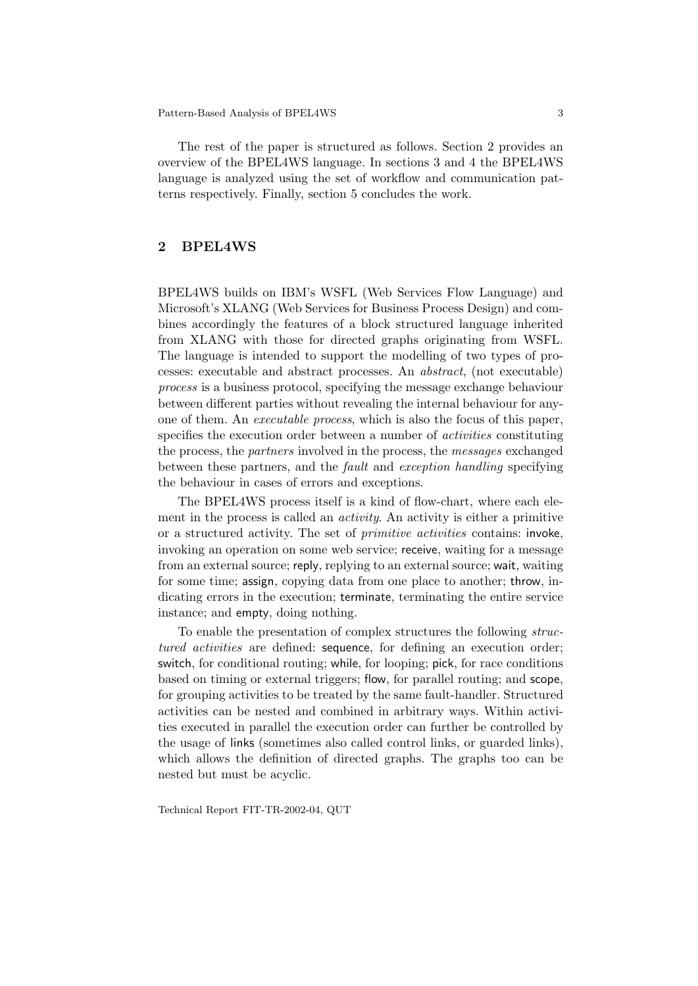The rest of the paper is structured as follows. Section 2 provides an overview of the BPEL4WS language. In sections 3 and 4 the BPEL4WS language is analyzed using the set of workflow and communication patterns respectively. Finally, section 5 concludes the work.

## 2 BPEL4WS

BPEL4WS builds on IBM's WSFL (Web Services Flow Language) and Microsoft's XLANG (Web Services for Business Process Design) and combines accordingly the features of a block structured language inherited from XLANG with those for directed graphs originating from WSFL. The language is intended to support the modelling of two types of processes: executable and abstract processes. An abstract, (not executable) process is a business protocol, specifying the message exchange behaviour between different parties without revealing the internal behaviour for anyone of them. An executable process, which is also the focus of this paper, specifies the execution order between a number of *activities* constituting the process, the partners involved in the process, the messages exchanged between these partners, and the fault and exception handling specifying the behaviour in cases of errors and exceptions.

The BPEL4WS process itself is a kind of flow-chart, where each element in the process is called an activity. An activity is either a primitive or a structured activity. The set of primitive activities contains: invoke, invoking an operation on some web service; receive, waiting for a message from an external source; reply, replying to an external source; wait, waiting for some time; assign, copying data from one place to another; throw, indicating errors in the execution; terminate, terminating the entire service instance; and empty, doing nothing.

To enable the presentation of complex structures the following structured activities are defined: sequence, for defining an execution order; switch, for conditional routing; while, for looping; pick, for race conditions based on timing or external triggers; flow, for parallel routing; and scope, for grouping activities to be treated by the same fault-handler. Structured activities can be nested and combined in arbitrary ways. Within activities executed in parallel the execution order can further be controlled by the usage of links (sometimes also called control links, or guarded links), which allows the definition of directed graphs. The graphs too can be nested but must be acyclic.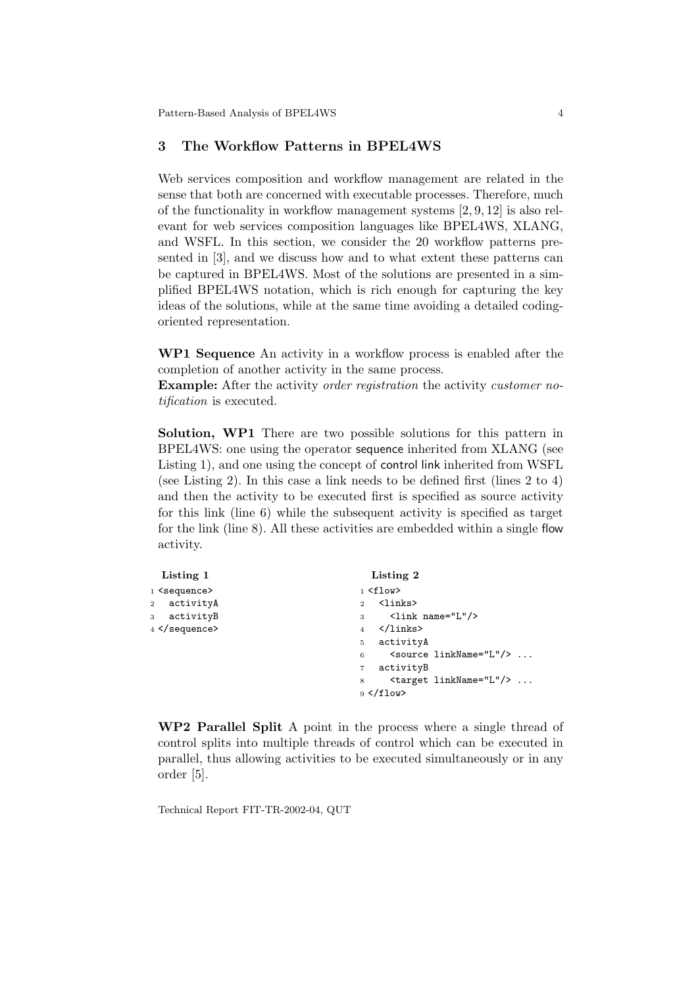# 3 The Workflow Patterns in BPEL4WS

Web services composition and workflow management are related in the sense that both are concerned with executable processes. Therefore, much of the functionality in workflow management systems [2, 9, 12] is also relevant for web services composition languages like BPEL4WS, XLANG, and WSFL. In this section, we consider the 20 workflow patterns presented in [3], and we discuss how and to what extent these patterns can be captured in BPEL4WS. Most of the solutions are presented in a simplified BPEL4WS notation, which is rich enough for capturing the key ideas of the solutions, while at the same time avoiding a detailed codingoriented representation.

WP1 Sequence An activity in a workflow process is enabled after the completion of another activity in the same process.

**Example:** After the activity order registration the activity customer notification is executed.

Solution, WP1 There are two possible solutions for this pattern in BPEL4WS: one using the operator sequence inherited from XLANG (see Listing 1), and one using the concept of control link inherited from WSFL (see Listing 2). In this case a link needs to be defined first (lines 2 to 4) and then the activity to be executed first is specified as source activity for this link (line 6) while the subsequent activity is specified as target for the link (line 8). All these activities are embedded within a single flow activity.

| Listing 1               | Listing 2                                         |
|-------------------------|---------------------------------------------------|
| 1 <sequence></sequence> | $1$ $\langle$ flow $\rangle$                      |
| 2 activityA             | <links><br/><math>\mathcal{D}</math></links>      |
| 3 activityB             | <link name="L"/><br>$\mathbf{3}$                  |
| 4                       | <br>$\overline{4}$                                |
|                         | activityA<br>5                                    |
|                         | $\leq$ source linkName="L"/><br>6                 |
|                         | activityB<br>$7^{\circ}$                          |
|                         | $\langle \text{target linkName="L"}/\rangle$<br>8 |
|                         | $9$                                               |
|                         |                                                   |

WP2 Parallel Split A point in the process where a single thread of control splits into multiple threads of control which can be executed in parallel, thus allowing activities to be executed simultaneously or in any order [5].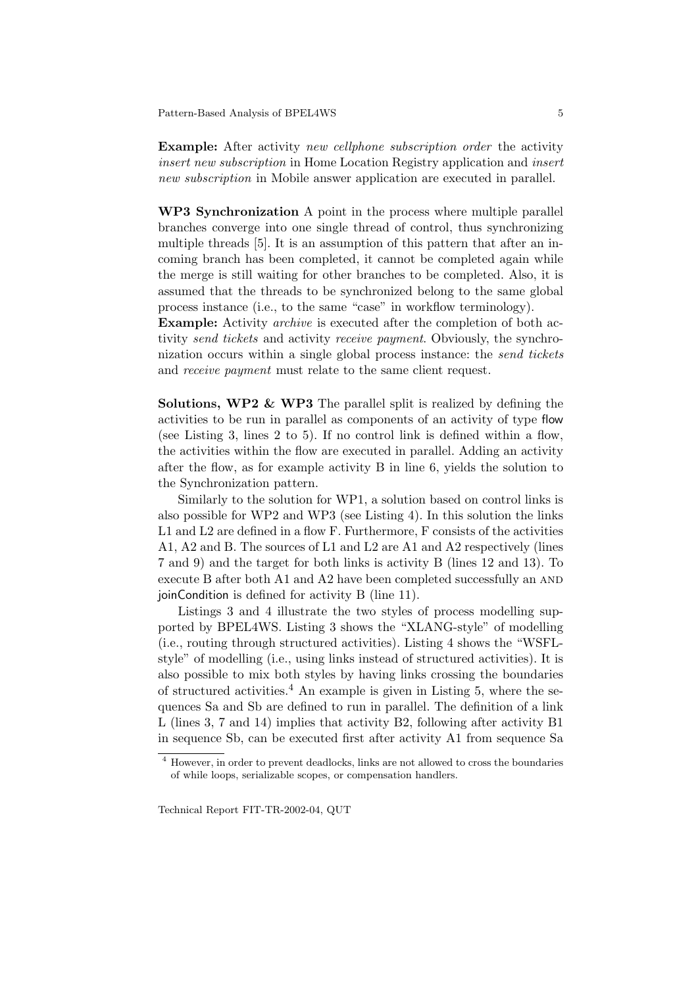**Example:** After activity new cellphone subscription order the activity insert new subscription in Home Location Registry application and insert new subscription in Mobile answer application are executed in parallel.

WP3 Synchronization A point in the process where multiple parallel branches converge into one single thread of control, thus synchronizing multiple threads [5]. It is an assumption of this pattern that after an incoming branch has been completed, it cannot be completed again while the merge is still waiting for other branches to be completed. Also, it is assumed that the threads to be synchronized belong to the same global process instance (i.e., to the same "case" in workflow terminology).

Example: Activity archive is executed after the completion of both activity send tickets and activity receive payment. Obviously, the synchronization occurs within a single global process instance: the send tickets and receive payment must relate to the same client request.

Solutions, WP2 & WP3 The parallel split is realized by defining the activities to be run in parallel as components of an activity of type flow (see Listing 3, lines 2 to 5). If no control link is defined within a flow, the activities within the flow are executed in parallel. Adding an activity after the flow, as for example activity B in line 6, yields the solution to the Synchronization pattern.

Similarly to the solution for WP1, a solution based on control links is also possible for WP2 and WP3 (see Listing 4). In this solution the links L1 and L2 are defined in a flow F. Furthermore, F consists of the activities A1, A2 and B. The sources of L1 and L2 are A1 and A2 respectively (lines 7 and 9) and the target for both links is activity B (lines 12 and 13). To execute B after both A1 and A2 have been completed successfully an AND joinCondition is defined for activity B (line 11).

Listings 3 and 4 illustrate the two styles of process modelling supported by BPEL4WS. Listing 3 shows the "XLANG-style" of modelling (i.e., routing through structured activities). Listing 4 shows the "WSFLstyle" of modelling (i.e., using links instead of structured activities). It is also possible to mix both styles by having links crossing the boundaries of structured activities.<sup>4</sup> An example is given in Listing 5, where the sequences Sa and Sb are defined to run in parallel. The definition of a link L (lines 3, 7 and 14) implies that activity B2, following after activity B1 in sequence Sb, can be executed first after activity A1 from sequence Sa

<sup>4</sup> However, in order to prevent deadlocks, links are not allowed to cross the boundaries of while loops, serializable scopes, or compensation handlers.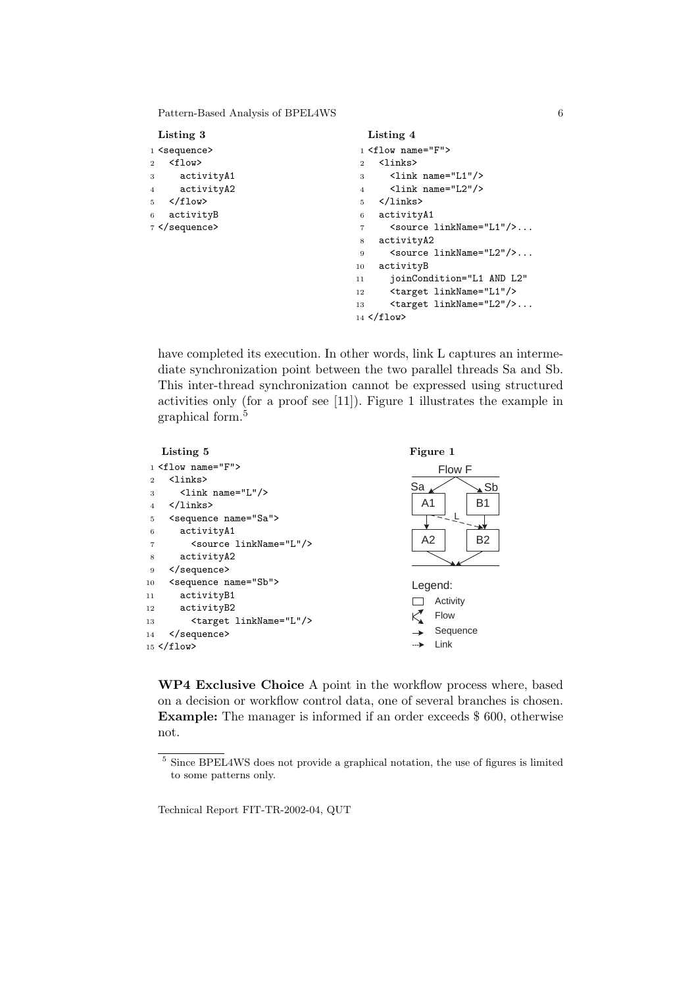```
Listing 3
1 <sequence>
2 \langleflow>
3 activityA1
4 activityA2
5 \times / \text{flow}6 activityB
7 </sequence>
                                      Listing 4
                                     1 <flow name="F">
                                     2 <links>
                                     3 <link name="L1"/>
                                     4 <link name="L2"/>
                                     5 </links>
                                     6 activityA1
                                     7 <source linkName="L1"/>...
                                     8 activityA2
                                     9 <source linkName="L2"/>...
                                    10 activityB
                                    11 joinCondition="L1 AND L2"
                                    12 <target linkName="L1"/>
                                    13 <target linkName="L2"/>...
                                    14 </flow>
```
have completed its execution. In other words, link L captures an intermediate synchronization point between the two parallel threads Sa and Sb. This inter-thread synchronization cannot be expressed using structured activities only (for a proof see [11]). Figure 1 illustrates the example in graphical form.<sup>5</sup>



WP4 Exclusive Choice A point in the workflow process where, based on a decision or workflow control data, one of several branches is chosen. Example: The manager is informed if an order exceeds \$ 600, otherwise not.

<sup>&</sup>lt;sup>5</sup> Since BPEL4WS does not provide a graphical notation, the use of figures is limited to some patterns only.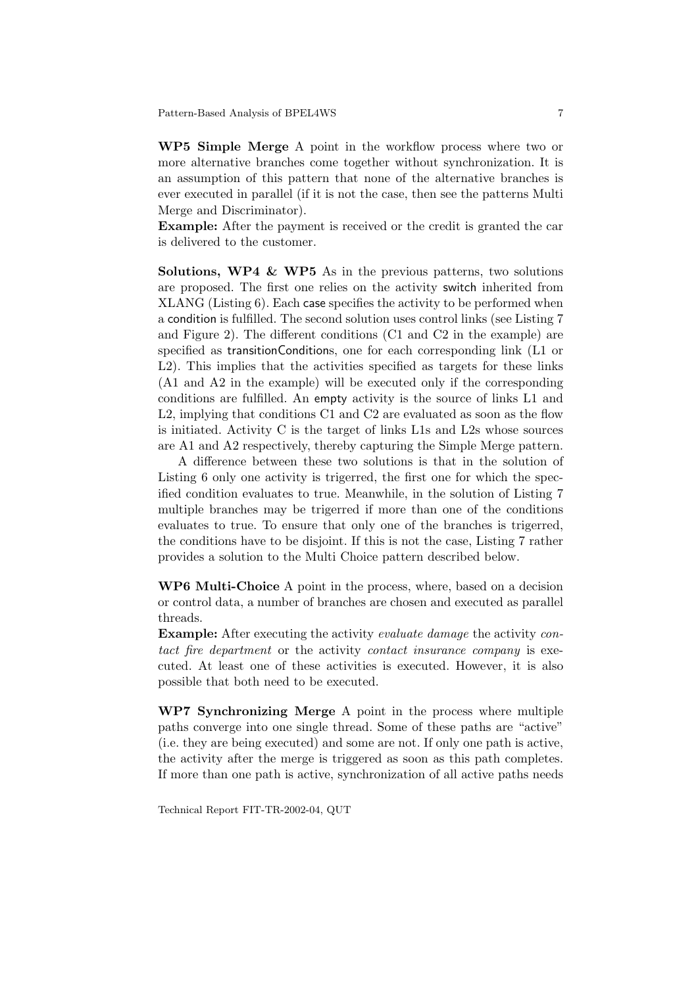WP5 Simple Merge A point in the workflow process where two or more alternative branches come together without synchronization. It is an assumption of this pattern that none of the alternative branches is ever executed in parallel (if it is not the case, then see the patterns Multi Merge and Discriminator).

Example: After the payment is received or the credit is granted the car is delivered to the customer.

Solutions, WP4 & WP5 As in the previous patterns, two solutions are proposed. The first one relies on the activity switch inherited from XLANG (Listing 6). Each case specifies the activity to be performed when a condition is fulfilled. The second solution uses control links (see Listing 7 and Figure 2). The different conditions (C1 and C2 in the example) are specified as transitionConditions, one for each corresponding link (L1 or L2). This implies that the activities specified as targets for these links (A1 and A2 in the example) will be executed only if the corresponding conditions are fulfilled. An empty activity is the source of links L1 and L2, implying that conditions C1 and C2 are evaluated as soon as the flow is initiated. Activity C is the target of links L1s and L2s whose sources are A1 and A2 respectively, thereby capturing the Simple Merge pattern.

A difference between these two solutions is that in the solution of Listing 6 only one activity is trigerred, the first one for which the specified condition evaluates to true. Meanwhile, in the solution of Listing 7 multiple branches may be trigerred if more than one of the conditions evaluates to true. To ensure that only one of the branches is trigerred, the conditions have to be disjoint. If this is not the case, Listing 7 rather provides a solution to the Multi Choice pattern described below.

WP6 Multi-Choice A point in the process, where, based on a decision or control data, a number of branches are chosen and executed as parallel threads.

**Example:** After executing the activity *evaluate damage* the activity *con*tact fire department or the activity contact insurance company is executed. At least one of these activities is executed. However, it is also possible that both need to be executed.

WP7 Synchronizing Merge A point in the process where multiple paths converge into one single thread. Some of these paths are "active" (i.e. they are being executed) and some are not. If only one path is active, the activity after the merge is triggered as soon as this path completes. If more than one path is active, synchronization of all active paths needs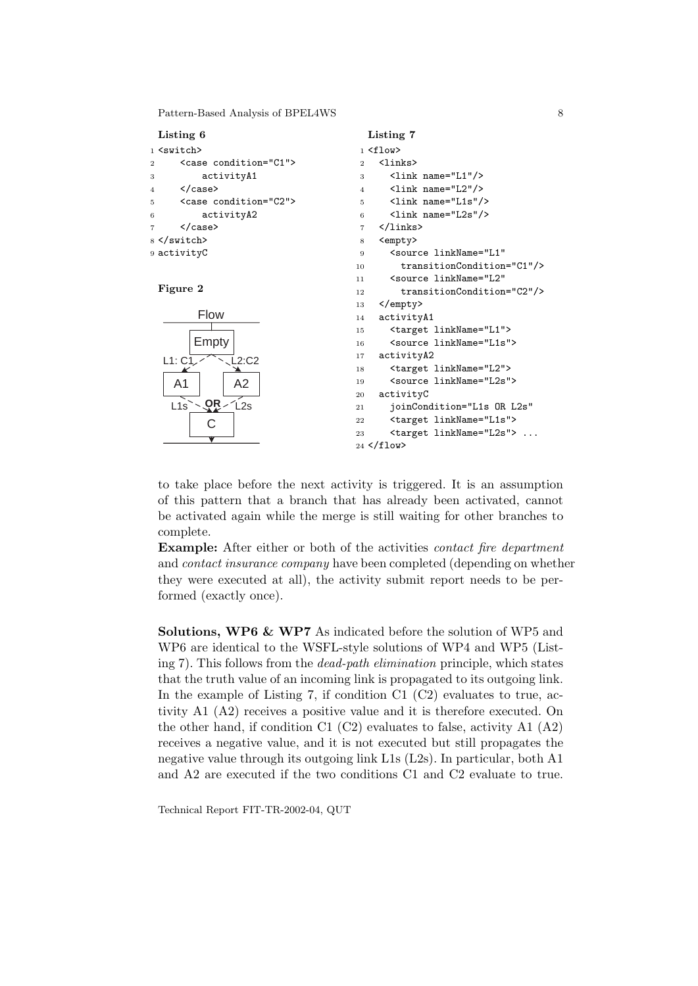

to take place before the next activity is triggered. It is an assumption of this pattern that a branch that has already been activated, cannot be activated again while the merge is still waiting for other branches to complete.

Example: After either or both of the activities *contact fire department* and contact insurance company have been completed (depending on whether they were executed at all), the activity submit report needs to be performed (exactly once).

Solutions, WP6 & WP7 As indicated before the solution of WP5 and WP6 are identical to the WSFL-style solutions of WP4 and WP5 (Listing 7). This follows from the dead-path elimination principle, which states that the truth value of an incoming link is propagated to its outgoing link. In the example of Listing 7, if condition  $C1$   $(C2)$  evaluates to true, activity A1 (A2) receives a positive value and it is therefore executed. On the other hand, if condition C1  $(C2)$  evaluates to false, activity A1  $(A2)$ receives a negative value, and it is not executed but still propagates the negative value through its outgoing link L1s (L2s). In particular, both A1 and A2 are executed if the two conditions C1 and C2 evaluate to true.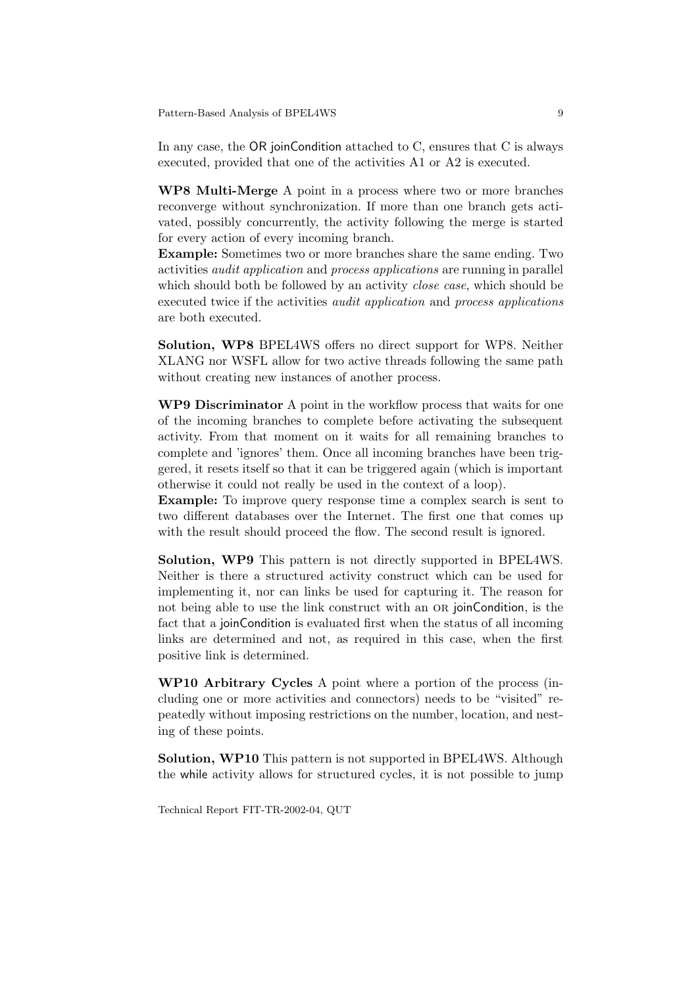In any case, the OR joinCondition attached to C, ensures that C is always executed, provided that one of the activities A1 or A2 is executed.

WP8 Multi-Merge A point in a process where two or more branches reconverge without synchronization. If more than one branch gets activated, possibly concurrently, the activity following the merge is started for every action of every incoming branch.

Example: Sometimes two or more branches share the same ending. Two activities audit application and process applications are running in parallel which should both be followed by an activity *close case*, which should be executed twice if the activities *audit application* and *process applications* are both executed.

Solution, WP8 BPEL4WS offers no direct support for WP8. Neither XLANG nor WSFL allow for two active threads following the same path without creating new instances of another process.

WP9 Discriminator A point in the workflow process that waits for one of the incoming branches to complete before activating the subsequent activity. From that moment on it waits for all remaining branches to complete and 'ignores' them. Once all incoming branches have been triggered, it resets itself so that it can be triggered again (which is important otherwise it could not really be used in the context of a loop).

Example: To improve query response time a complex search is sent to two different databases over the Internet. The first one that comes up with the result should proceed the flow. The second result is ignored.

Solution, WP9 This pattern is not directly supported in BPEL4WS. Neither is there a structured activity construct which can be used for implementing it, nor can links be used for capturing it. The reason for not being able to use the link construct with an OR joinCondition, is the fact that a joinCondition is evaluated first when the status of all incoming links are determined and not, as required in this case, when the first positive link is determined.

WP10 Arbitrary Cycles A point where a portion of the process (including one or more activities and connectors) needs to be "visited" repeatedly without imposing restrictions on the number, location, and nesting of these points.

Solution, WP10 This pattern is not supported in BPEL4WS. Although the while activity allows for structured cycles, it is not possible to jump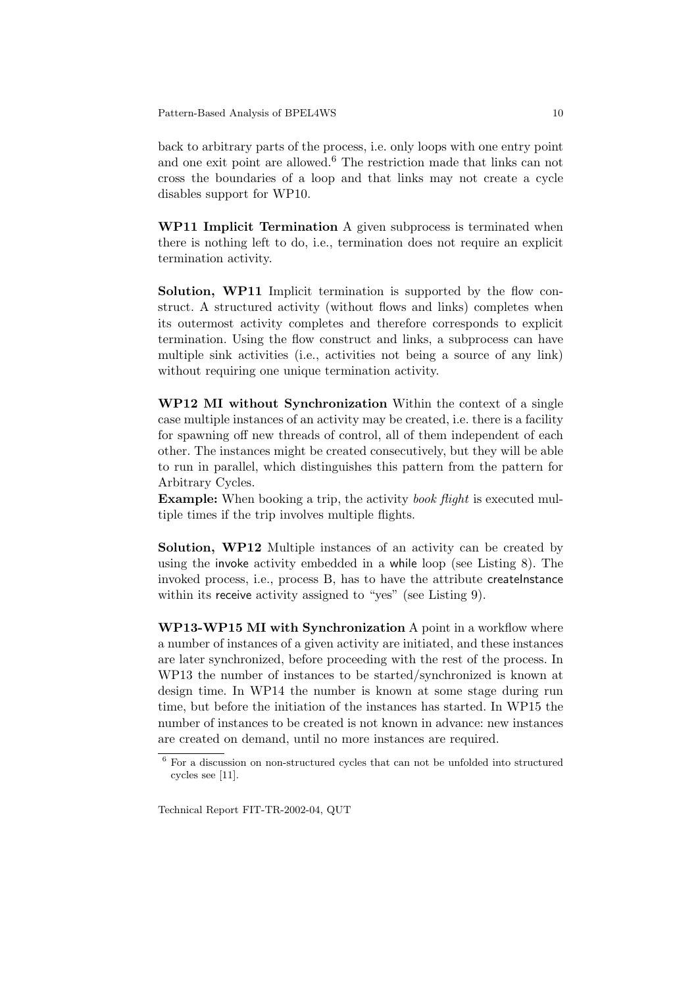back to arbitrary parts of the process, i.e. only loops with one entry point and one exit point are allowed.<sup>6</sup> The restriction made that links can not cross the boundaries of a loop and that links may not create a cycle disables support for WP10.

WP11 Implicit Termination A given subprocess is terminated when there is nothing left to do, i.e., termination does not require an explicit termination activity.

Solution, WP11 Implicit termination is supported by the flow construct. A structured activity (without flows and links) completes when its outermost activity completes and therefore corresponds to explicit termination. Using the flow construct and links, a subprocess can have multiple sink activities (i.e., activities not being a source of any link) without requiring one unique termination activity.

WP12 MI without Synchronization Within the context of a single case multiple instances of an activity may be created, i.e. there is a facility for spawning off new threads of control, all of them independent of each other. The instances might be created consecutively, but they will be able to run in parallel, which distinguishes this pattern from the pattern for Arbitrary Cycles.

**Example:** When booking a trip, the activity book flight is executed multiple times if the trip involves multiple flights.

Solution, WP12 Multiple instances of an activity can be created by using the invoke activity embedded in a while loop (see Listing 8). The invoked process, i.e., process B, has to have the attribute createInstance within its receive activity assigned to "yes" (see Listing 9).

WP13-WP15 MI with Synchronization A point in a workflow where a number of instances of a given activity are initiated, and these instances are later synchronized, before proceeding with the rest of the process. In WP13 the number of instances to be started/synchronized is known at design time. In WP14 the number is known at some stage during run time, but before the initiation of the instances has started. In WP15 the number of instances to be created is not known in advance: new instances are created on demand, until no more instances are required.

 $^6$  For a discussion on non-structured cycles that can not be unfolded into structured cycles see [11].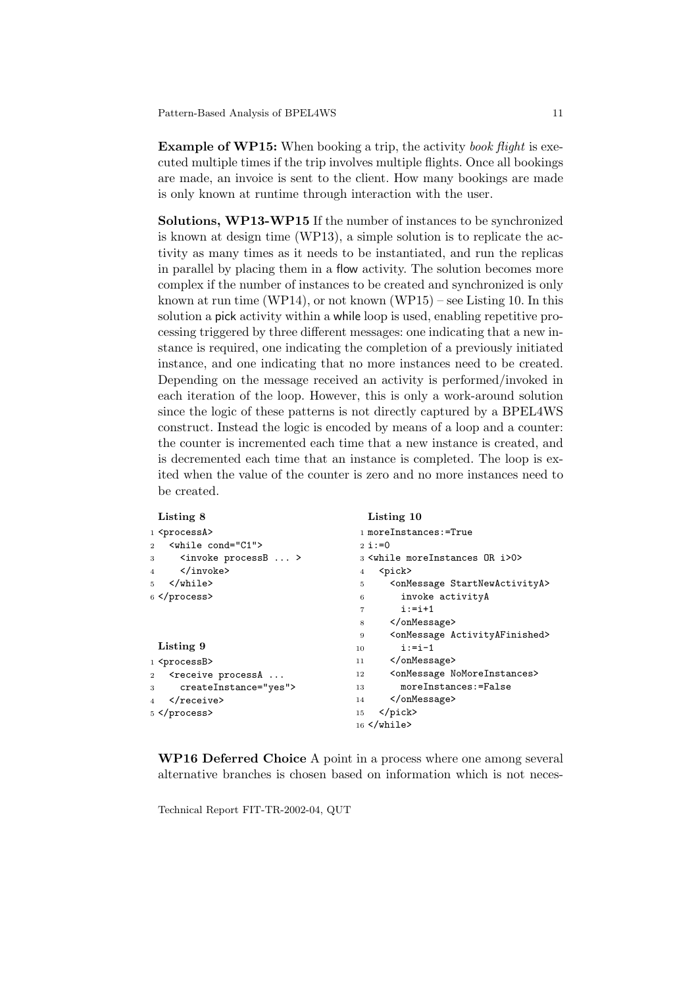**Example of WP15:** When booking a trip, the activity book flight is executed multiple times if the trip involves multiple flights. Once all bookings are made, an invoice is sent to the client. How many bookings are made is only known at runtime through interaction with the user.

Solutions, WP13-WP15 If the number of instances to be synchronized is known at design time (WP13), a simple solution is to replicate the activity as many times as it needs to be instantiated, and run the replicas in parallel by placing them in a flow activity. The solution becomes more complex if the number of instances to be created and synchronized is only known at run time (WP14), or not known (WP15) – see Listing 10. In this solution a pick activity within a while loop is used, enabling repetitive processing triggered by three different messages: one indicating that a new instance is required, one indicating the completion of a previously initiated instance, and one indicating that no more instances need to be created. Depending on the message received an activity is performed/invoked in each iteration of the loop. However, this is only a work-around solution since the logic of these patterns is not directly captured by a BPEL4WS construct. Instead the logic is encoded by means of a loop and a counter: the counter is incremented each time that a new instance is created, and is decremented each time that an instance is completed. The loop is exited when the value of the counter is zero and no more instances need to be created.

| Listing 8                                                       | Listing 10                                         |  |  |  |  |
|-----------------------------------------------------------------|----------------------------------------------------|--|--|--|--|
| $_1$ <processa></processa>                                      | 1 moreInstances:=True                              |  |  |  |  |
| $\text{while cond}="C1"$<br>$\overline{2}$                      | $2 \text{ i}$ : = 0                                |  |  |  |  |
| <invoke processb=""><br/>3</invoke>                             | 3 <while i="" moreinstances="" or="">0&gt;</while> |  |  |  |  |
| $\langle$ invoke><br>$\overline{4}$                             | <pick><br/><math>\overline{4}</math></pick>        |  |  |  |  |
| $\langle$ /while><br>5                                          | <onmessage startnewactivitya=""><br/>5</onmessage> |  |  |  |  |
| $6 \le$ /process>                                               | invoke activityA<br>6                              |  |  |  |  |
|                                                                 | $i := i + 1$<br>$\overline{7}$                     |  |  |  |  |
|                                                                 | <br>8                                              |  |  |  |  |
|                                                                 | <onmessage activityafinished=""><br/>9</onmessage> |  |  |  |  |
| Listing 9                                                       | $i := i - 1$<br>10                                 |  |  |  |  |
| $_1$ <processb></processb>                                      | <br>$11 -$                                         |  |  |  |  |
| <receive <br="" processa=""><math>\overline{2}</math></receive> | <onmessage nomoreinstances=""><br/>12</onmessage>  |  |  |  |  |
| createInstance="yes"><br>3                                      | moreInstances:=False<br>13                         |  |  |  |  |
| $\langle$ /receive $\rangle$<br>$\overline{4}$                  | <br>14                                             |  |  |  |  |
| 5                                                               | $\langle$ /pick><br>15                             |  |  |  |  |
|                                                                 | $16 \times$ /while>                                |  |  |  |  |

WP16 Deferred Choice A point in a process where one among several alternative branches is chosen based on information which is not neces-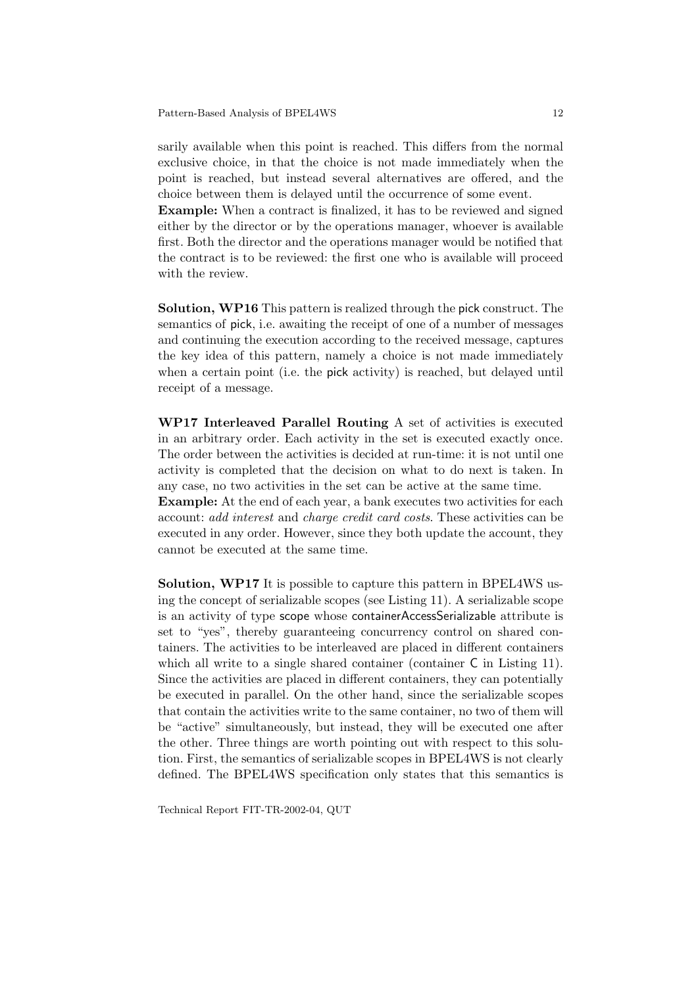sarily available when this point is reached. This differs from the normal exclusive choice, in that the choice is not made immediately when the point is reached, but instead several alternatives are offered, and the choice between them is delayed until the occurrence of some event.

Example: When a contract is finalized, it has to be reviewed and signed either by the director or by the operations manager, whoever is available first. Both the director and the operations manager would be notified that the contract is to be reviewed: the first one who is available will proceed with the review.

Solution, WP16 This pattern is realized through the pick construct. The semantics of pick, i.e. awaiting the receipt of one of a number of messages and continuing the execution according to the received message, captures the key idea of this pattern, namely a choice is not made immediately when a certain point (i.e. the pick activity) is reached, but delayed until receipt of a message.

WP17 Interleaved Parallel Routing A set of activities is executed in an arbitrary order. Each activity in the set is executed exactly once. The order between the activities is decided at run-time: it is not until one activity is completed that the decision on what to do next is taken. In any case, no two activities in the set can be active at the same time.

Example: At the end of each year, a bank executes two activities for each account: add interest and charge credit card costs. These activities can be executed in any order. However, since they both update the account, they cannot be executed at the same time.

Solution, WP17 It is possible to capture this pattern in BPEL4WS using the concept of serializable scopes (see Listing 11). A serializable scope is an activity of type scope whose containerAccessSerializable attribute is set to "yes", thereby guaranteeing concurrency control on shared containers. The activities to be interleaved are placed in different containers which all write to a single shared container (container C in Listing 11). Since the activities are placed in different containers, they can potentially be executed in parallel. On the other hand, since the serializable scopes that contain the activities write to the same container, no two of them will be "active" simultaneously, but instead, they will be executed one after the other. Three things are worth pointing out with respect to this solution. First, the semantics of serializable scopes in BPEL4WS is not clearly defined. The BPEL4WS specification only states that this semantics is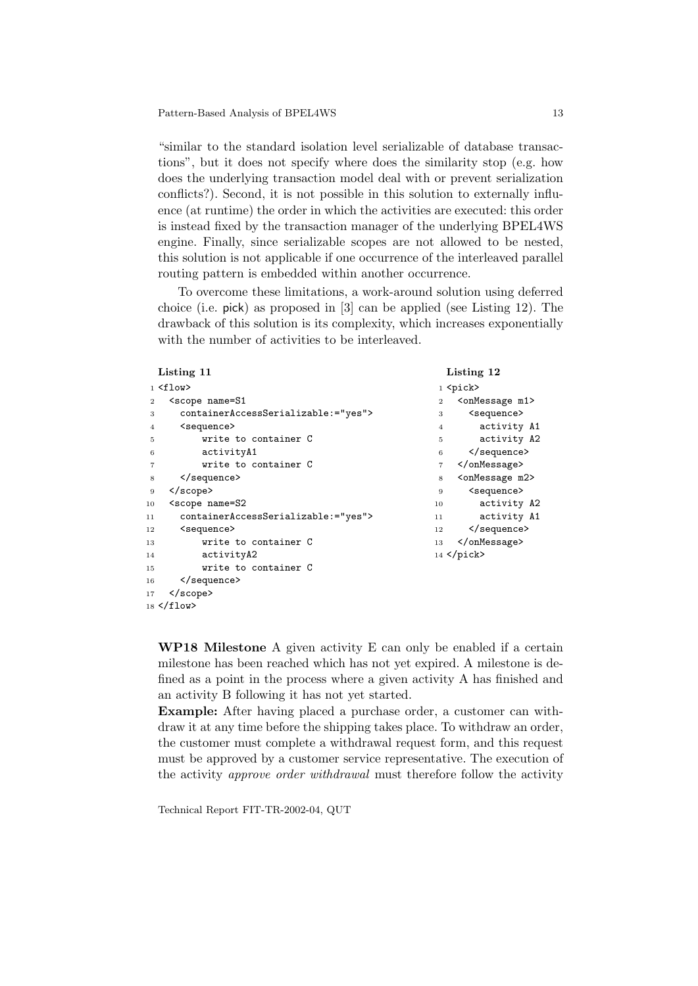"similar to the standard isolation level serializable of database transactions", but it does not specify where does the similarity stop (e.g. how does the underlying transaction model deal with or prevent serialization conflicts?). Second, it is not possible in this solution to externally influence (at runtime) the order in which the activities are executed: this order is instead fixed by the transaction manager of the underlying BPEL4WS engine. Finally, since serializable scopes are not allowed to be nested, this solution is not applicable if one occurrence of the interleaved parallel routing pattern is embedded within another occurrence.

To overcome these limitations, a work-around solution using deferred choice (i.e. pick) as proposed in [3] can be applied (see Listing 12). The drawback of this solution is its complexity, which increases exponentially with the number of activities to be interleaved.

| Listing 11     |                                                                                                          | Listing 12     |                               |  |  |
|----------------|----------------------------------------------------------------------------------------------------------|----------------|-------------------------------|--|--|
|                | $1$ <flow></flow>                                                                                        |                | 1 <pick></pick>               |  |  |
| $\overline{2}$ | <scope name="S1&lt;/th"><th><math>\overline{2}</math></th><th><onmessage m1=""></onmessage></th></scope> | $\overline{2}$ | <onmessage m1=""></onmessage> |  |  |
| 3              | containerAccessSerializable:="yes">                                                                      | 3              | <sequence></sequence>         |  |  |
| 4              | <sequence></sequence>                                                                                    | $\overline{4}$ | activity A1                   |  |  |
| 5              | write to container C                                                                                     | 5              | activity A2                   |  |  |
| 6              | activityA1                                                                                               | 6              |                               |  |  |
| $\overline{7}$ | write to container C                                                                                     | $\overline{7}$ |                               |  |  |
| 8              |                                                                                                          | 8              | <onmessage m2=""></onmessage> |  |  |
| 9              | $\langle$ scope $\rangle$                                                                                | 9              | <sequence></sequence>         |  |  |
| 10             | <scope name="S2&lt;/td"><td>10</td><td>activity A2</td></scope>                                          | 10             | activity A2                   |  |  |
| 11             | containerAccessSerializable:="yes">                                                                      | 11             | activity A1                   |  |  |
| 12             | <sequence></sequence>                                                                                    | 12             |                               |  |  |
| 13             | write to container C                                                                                     | 13             |                               |  |  |
| 14             | activityA2                                                                                               |                | $14 \times$ /pick>            |  |  |
| 15             | write to container C                                                                                     |                |                               |  |  |
| 16             | $\langle$ sequence>                                                                                      |                |                               |  |  |
| 17             | $\langle$ scope $\rangle$                                                                                |                |                               |  |  |
|                | $18 \lt /f$ low>                                                                                         |                |                               |  |  |

WP18 Milestone A given activity E can only be enabled if a certain milestone has been reached which has not yet expired. A milestone is defined as a point in the process where a given activity A has finished and an activity B following it has not yet started.

Example: After having placed a purchase order, a customer can withdraw it at any time before the shipping takes place. To withdraw an order, the customer must complete a withdrawal request form, and this request must be approved by a customer service representative. The execution of the activity approve order withdrawal must therefore follow the activity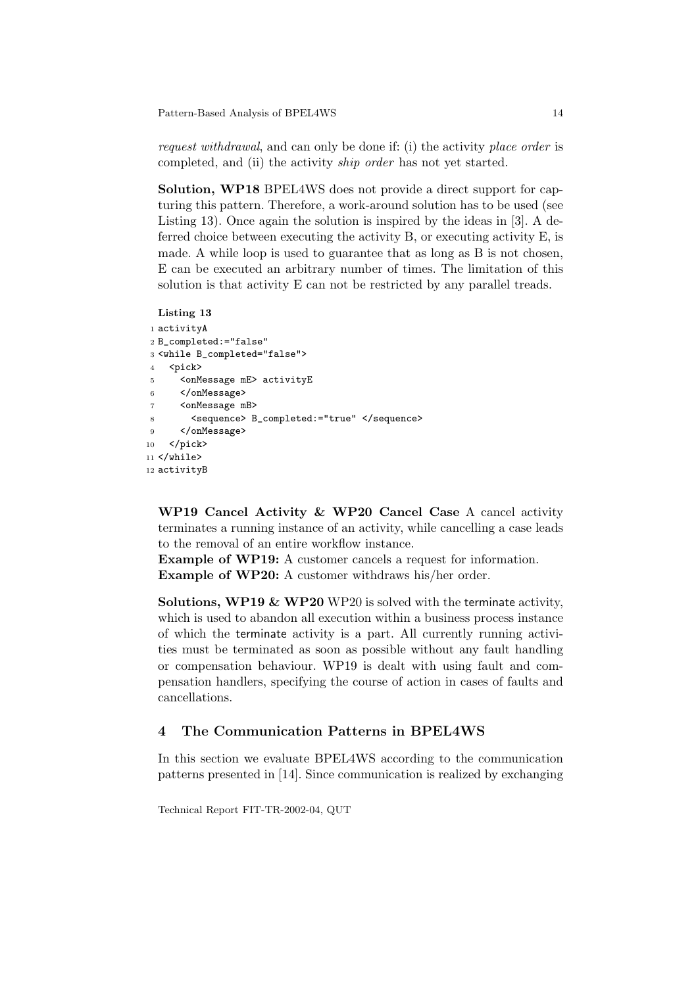request withdrawal, and can only be done if: (i) the activity place order is completed, and (ii) the activity ship order has not yet started.

Solution, WP18 BPEL4WS does not provide a direct support for capturing this pattern. Therefore, a work-around solution has to be used (see Listing 13). Once again the solution is inspired by the ideas in [3]. A deferred choice between executing the activity B, or executing activity E, is made. A while loop is used to guarantee that as long as B is not chosen, E can be executed an arbitrary number of times. The limitation of this solution is that activity E can not be restricted by any parallel treads.

#### Listing 13

```
1 activityA
2 B_completed:="false"
3 <while B_completed="false">
   4 <pick>
5 <onMessage mE> activityE
6 </onMessage>
7 <onMessage mB>
8 <sequence> B_completed:="true" </sequence>
9 </onMessage>
10 </pick>
11 < /while>
12 activityB
```
WP19 Cancel Activity & WP20 Cancel Case A cancel activity terminates a running instance of an activity, while cancelling a case leads to the removal of an entire workflow instance.

Example of WP19: A customer cancels a request for information. Example of WP20: A customer withdraws his/her order.

Solutions, WP19 & WP20 WP20 is solved with the terminate activity, which is used to abandon all execution within a business process instance of which the terminate activity is a part. All currently running activities must be terminated as soon as possible without any fault handling or compensation behaviour. WP19 is dealt with using fault and compensation handlers, specifying the course of action in cases of faults and cancellations.

# 4 The Communication Patterns in BPEL4WS

In this section we evaluate BPEL4WS according to the communication patterns presented in [14]. Since communication is realized by exchanging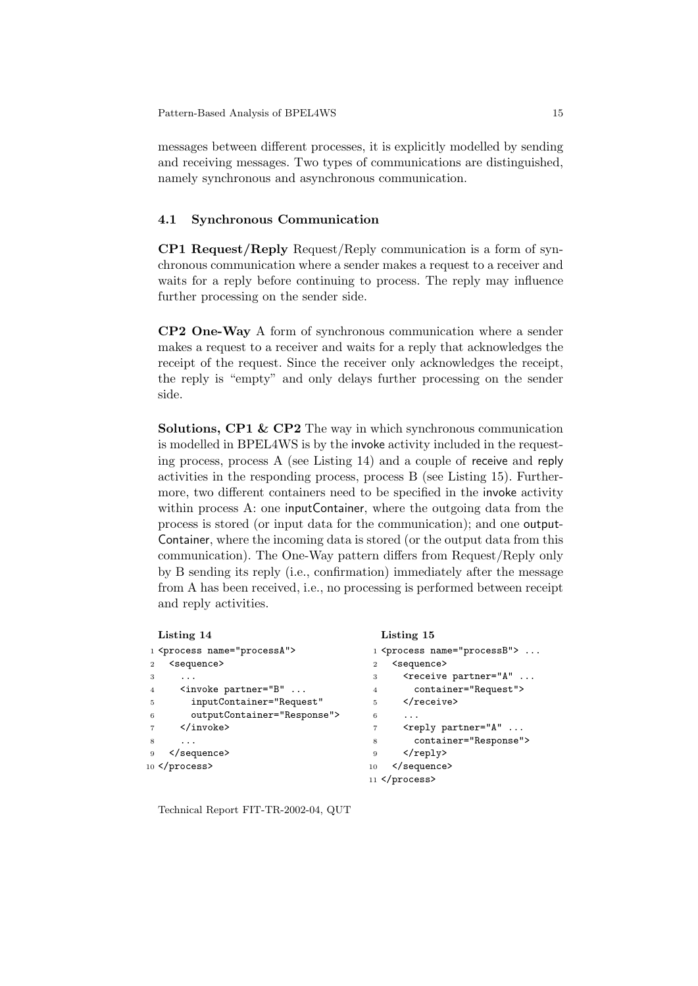messages between different processes, it is explicitly modelled by sending and receiving messages. Two types of communications are distinguished, namely synchronous and asynchronous communication.

### 4.1 Synchronous Communication

CP1 Request/Reply Request/Reply communication is a form of synchronous communication where a sender makes a request to a receiver and waits for a reply before continuing to process. The reply may influence further processing on the sender side.

CP2 One-Way A form of synchronous communication where a sender makes a request to a receiver and waits for a reply that acknowledges the receipt of the request. Since the receiver only acknowledges the receipt, the reply is "empty" and only delays further processing on the sender side.

Solutions, CP1 & CP2 The way in which synchronous communication is modelled in BPEL4WS is by the invoke activity included in the requesting process, process A (see Listing 14) and a couple of receive and reply activities in the responding process, process B (see Listing 15). Furthermore, two different containers need to be specified in the invoke activity within process A: one inputContainer, where the outgoing data from the process is stored (or input data for the communication); and one output-Container, where the incoming data is stored (or the output data from this communication). The One-Way pattern differs from Request/Reply only by B sending its reply (i.e., confirmation) immediately after the message from A has been received, i.e., no processing is performed between receipt and reply activities.

```
Listing 14
1 <process name="processA">
2 <sequence>
3 ...
4 <invoke partner="B" ...
5 inputContainer="Request"
6 outputContainer="Response">
7 </invoke>
8 ...
9 </sequence>
10 </process>
                                      Listing 15
                                     1 <process name="processB"> ...
                                     2 <sequence>
                                     3 <receive partner="A" ...
                                     4 container="Request">
                                     5 </receive>
                                     6 ...
                                     7 <reply partner="A" ...
                                     8 container="Response">
                                    9 </reply>
                                    10 </sequence>
                                    11 </process>
```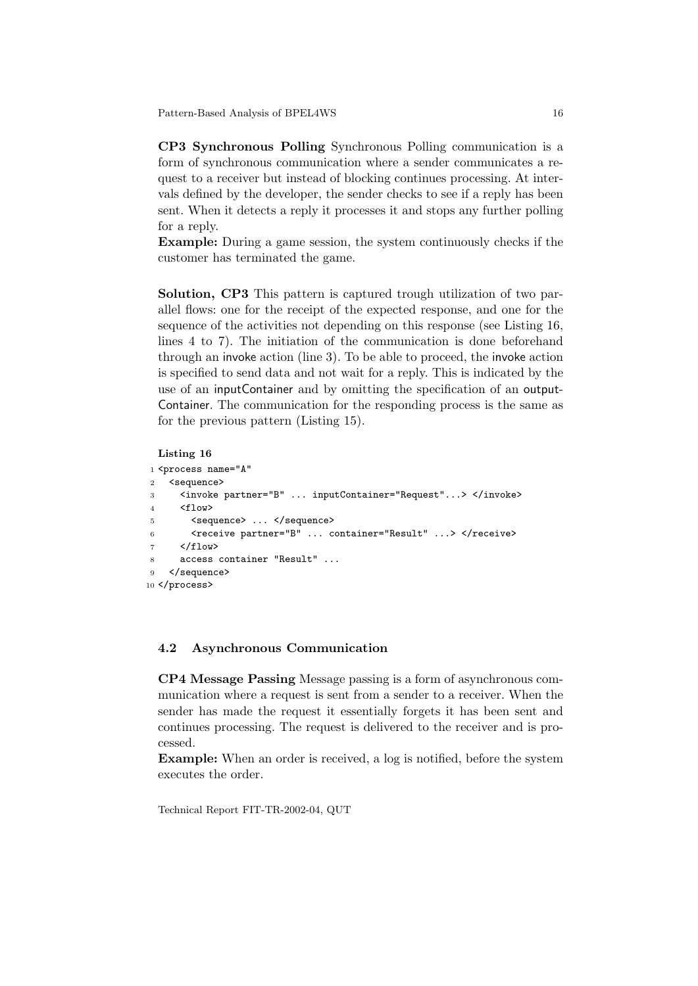CP3 Synchronous Polling Synchronous Polling communication is a form of synchronous communication where a sender communicates a request to a receiver but instead of blocking continues processing. At intervals defined by the developer, the sender checks to see if a reply has been sent. When it detects a reply it processes it and stops any further polling for a reply.

Example: During a game session, the system continuously checks if the customer has terminated the game.

Solution, CP3 This pattern is captured trough utilization of two parallel flows: one for the receipt of the expected response, and one for the sequence of the activities not depending on this response (see Listing 16, lines 4 to 7). The initiation of the communication is done beforehand through an invoke action (line 3). To be able to proceed, the invoke action is specified to send data and not wait for a reply. This is indicated by the use of an inputContainer and by omitting the specification of an output-Container. The communication for the responding process is the same as for the previous pattern (Listing 15).

#### Listing 16

```
1 <process name="A"
2 <sequence>
3 <invoke partner="B" ... inputContainer="Request"...> </invoke>
4 <flow>
5 <sequence> ... </sequence>
6 <receive partner="B" ... container="Result" ...> </receive>
7 \langle /flow>
8 access container "Result" ...
9 </sequence>
10 </process>
```
### 4.2 Asynchronous Communication

CP4 Message Passing Message passing is a form of asynchronous communication where a request is sent from a sender to a receiver. When the sender has made the request it essentially forgets it has been sent and continues processing. The request is delivered to the receiver and is processed.

Example: When an order is received, a log is notified, before the system executes the order.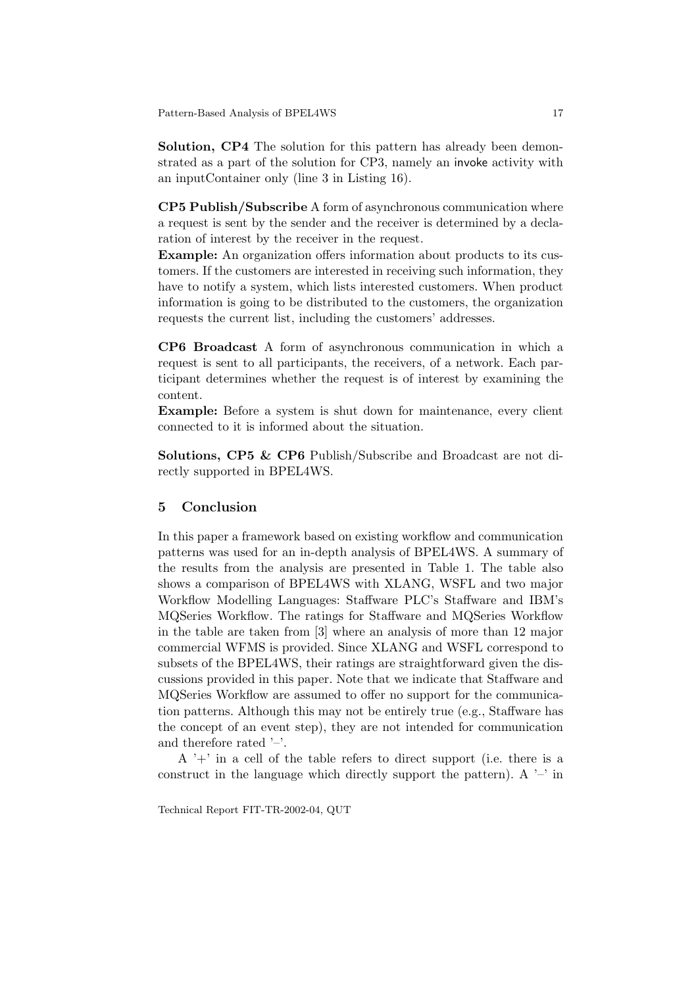Solution, CP4 The solution for this pattern has already been demonstrated as a part of the solution for CP3, namely an invoke activity with an inputContainer only (line 3 in Listing 16).

CP5 Publish/Subscribe A form of asynchronous communication where a request is sent by the sender and the receiver is determined by a declaration of interest by the receiver in the request.

Example: An organization offers information about products to its customers. If the customers are interested in receiving such information, they have to notify a system, which lists interested customers. When product information is going to be distributed to the customers, the organization requests the current list, including the customers' addresses.

CP6 Broadcast A form of asynchronous communication in which a request is sent to all participants, the receivers, of a network. Each participant determines whether the request is of interest by examining the content.

Example: Before a system is shut down for maintenance, every client connected to it is informed about the situation.

Solutions, CP5 & CP6 Publish/Subscribe and Broadcast are not directly supported in BPEL4WS.

## 5 Conclusion

In this paper a framework based on existing workflow and communication patterns was used for an in-depth analysis of BPEL4WS. A summary of the results from the analysis are presented in Table 1. The table also shows a comparison of BPEL4WS with XLANG, WSFL and two major Workflow Modelling Languages: Staffware PLC's Staffware and IBM's MQSeries Workflow. The ratings for Staffware and MQSeries Workflow in the table are taken from [3] where an analysis of more than 12 major commercial WFMS is provided. Since XLANG and WSFL correspond to subsets of the BPEL4WS, their ratings are straightforward given the discussions provided in this paper. Note that we indicate that Staffware and MQSeries Workflow are assumed to offer no support for the communication patterns. Although this may not be entirely true (e.g., Staffware has the concept of an event step), they are not intended for communication and therefore rated '–'.

 $A'$  + in a cell of the table refers to direct support (i.e. there is a construct in the language which directly support the pattern). A  $\prime$ - $\prime$  in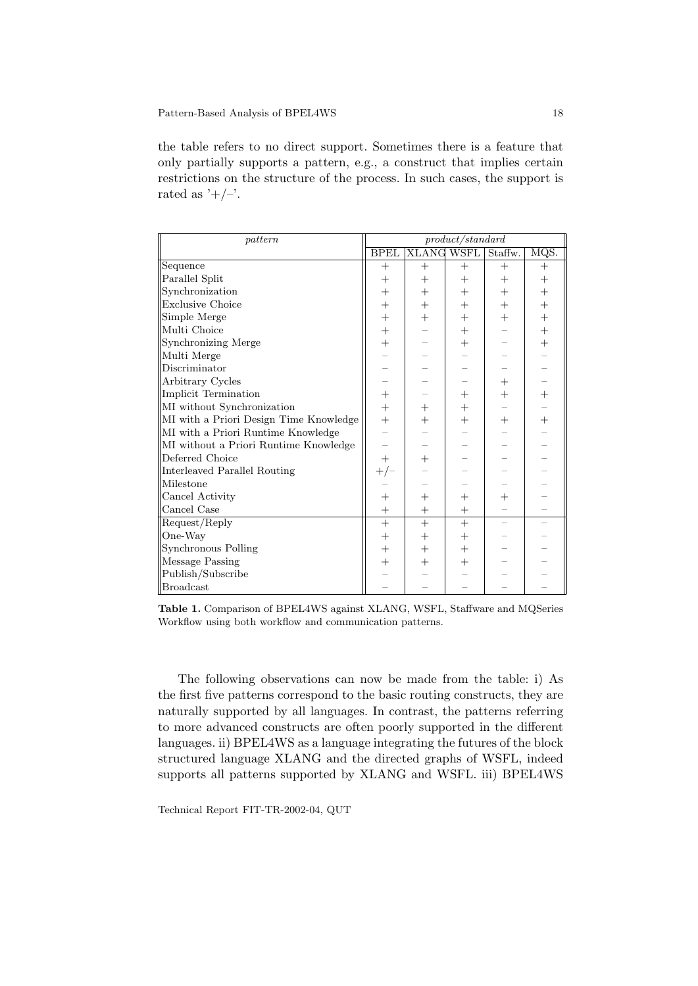the table refers to no direct support. Sometimes there is a feature that only partially supports a pattern, e.g., a construct that implies certain restrictions on the structure of the process. In such cases, the support is rated as  $'+/-'.$ 

| pattern                                | product/standard   |                   |        |         |        |
|----------------------------------------|--------------------|-------------------|--------|---------|--------|
|                                        | <b>BPEL</b>        | <b>XLANG WSFL</b> |        | Staffw. | MQS.   |
| Sequence                               | $^{+}$             | $+$               | $^{+}$ | $+$     | $^{+}$ |
| Parallel Split                         | $^{+}$             | $^{+}$            | $^{+}$ | $^{+}$  | $^{+}$ |
| Synchronization                        | $^{+}$             | $^{+}$            | $^{+}$ | $^{+}$  | $^{+}$ |
| <b>Exclusive Choice</b>                | $^{+}$             | $+$               | $^{+}$ | $^{+}$  | $^{+}$ |
| Simple Merge                           | $^{+}$             | $^{+}$            | $^{+}$ | $^{+}$  | $^{+}$ |
| Multi Choice                           | $^{+}$             |                   | $^{+}$ |         | $+$    |
| Synchronizing Merge                    | $^{+}$             |                   | $^{+}$ |         | $^{+}$ |
| Multi Merge                            |                    |                   |        |         |        |
| Discriminator                          |                    |                   |        |         |        |
| Arbitrary Cycles                       |                    |                   |        | $^{+}$  |        |
| Implicit Termination                   | $^{+}$             |                   | $^{+}$ | $^{+}$  | $+$    |
| MI without Synchronization             | $^{+}$             | $^{+}$            | $^{+}$ |         |        |
| MI with a Priori Design Time Knowledge | $^{+}$             | $^{+}$            | $^{+}$ | $^{+}$  | $^{+}$ |
| MI with a Priori Runtime Knowledge     |                    |                   |        |         |        |
| MI without a Priori Runtime Knowledge  |                    |                   |        |         |        |
| Deferred Choice                        | $^{+}$             | $^{+}$            |        |         |        |
| Interleaved Parallel Routing           | $+/-$              |                   |        |         |        |
| Milestone                              |                    |                   |        |         |        |
| Cancel Activity                        | $\hspace{0.1mm} +$ | $^{+}$            | $^{+}$ | $^{+}$  |        |
| Cancel Case                            | $^{+}$             | $^{+}$            | $^{+}$ |         |        |
| Request/Reply                          | $^{+}$             | $+$               | $^{+}$ |         |        |
| One-Way                                | $^{+}$             | $^{+}$            | $^{+}$ |         |        |
| Synchronous Polling                    | $^{+}$             | $^{+}$            | $^{+}$ |         |        |
| Message Passing                        | $\hspace{0.1mm} +$ | $^{+}$            | $^{+}$ |         |        |
| Publish/Subscribe                      |                    |                   |        |         |        |
| Broadcast                              |                    |                   |        |         |        |

Table 1. Comparison of BPEL4WS against XLANG, WSFL, Staffware and MQSeries Workflow using both workflow and communication patterns.

The following observations can now be made from the table: i) As the first five patterns correspond to the basic routing constructs, they are naturally supported by all languages. In contrast, the patterns referring to more advanced constructs are often poorly supported in the different languages. ii) BPEL4WS as a language integrating the futures of the block structured language XLANG and the directed graphs of WSFL, indeed supports all patterns supported by XLANG and WSFL. iii) BPEL4WS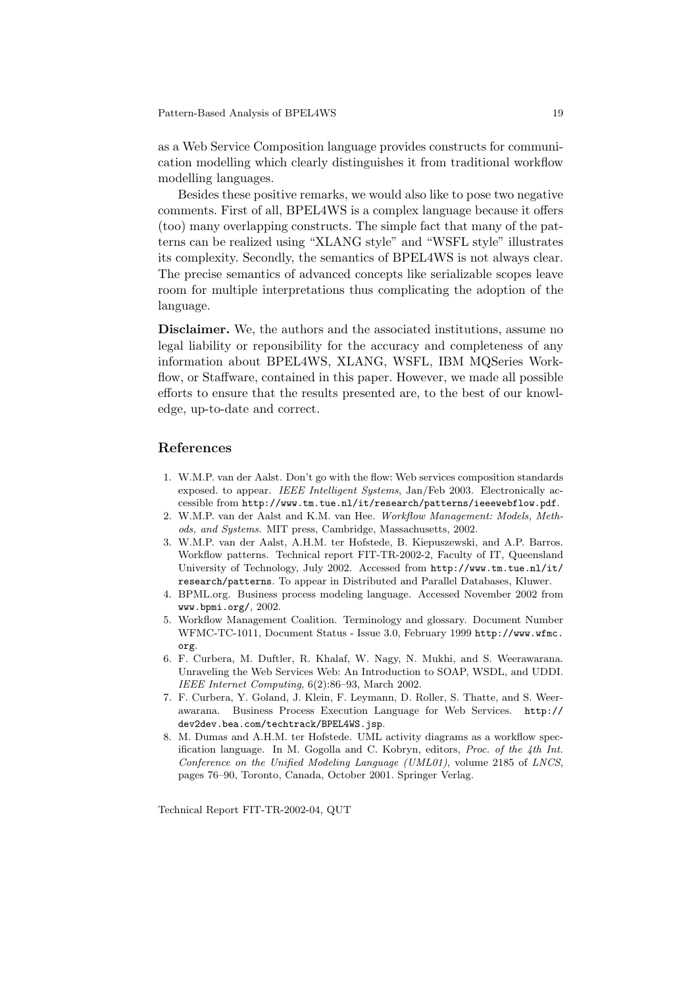as a Web Service Composition language provides constructs for communication modelling which clearly distinguishes it from traditional workflow modelling languages.

Besides these positive remarks, we would also like to pose two negative comments. First of all, BPEL4WS is a complex language because it offers (too) many overlapping constructs. The simple fact that many of the patterns can be realized using "XLANG style" and "WSFL style" illustrates its complexity. Secondly, the semantics of BPEL4WS is not always clear. The precise semantics of advanced concepts like serializable scopes leave room for multiple interpretations thus complicating the adoption of the language.

Disclaimer. We, the authors and the associated institutions, assume no legal liability or reponsibility for the accuracy and completeness of any information about BPEL4WS, XLANG, WSFL, IBM MQSeries Workflow, or Staffware, contained in this paper. However, we made all possible efforts to ensure that the results presented are, to the best of our knowledge, up-to-date and correct.

### References

- 1. W.M.P. van der Aalst. Don't go with the flow: Web services composition standards exposed. to appear. IEEE Intelligent Systems, Jan/Feb 2003. Electronically accessible from http://www.tm.tue.nl/it/research/patterns/ieeewebflow.pdf.
- 2. W.M.P. van der Aalst and K.M. van Hee. Workflow Management: Models, Methods, and Systems. MIT press, Cambridge, Massachusetts, 2002.
- 3. W.M.P. van der Aalst, A.H.M. ter Hofstede, B. Kiepuszewski, and A.P. Barros. Workflow patterns. Technical report FIT-TR-2002-2, Faculty of IT, Queensland University of Technology, July 2002. Accessed from http://www.tm.tue.nl/it/ research/patterns. To appear in Distributed and Parallel Databases, Kluwer.
- 4. BPML.org. Business process modeling language. Accessed November 2002 from www.bpmi.org/, 2002.
- 5. Workflow Management Coalition. Terminology and glossary. Document Number WFMC-TC-1011, Document Status - Issue 3.0, February 1999 http://www.wfmc. org.
- 6. F. Curbera, M. Duftler, R. Khalaf, W. Nagy, N. Mukhi, and S. Weerawarana. Unraveling the Web Services Web: An Introduction to SOAP, WSDL, and UDDI. IEEE Internet Computing, 6(2):86–93, March 2002.
- 7. F. Curbera, Y. Goland, J. Klein, F. Leymann, D. Roller, S. Thatte, and S. Weerawarana. Business Process Execution Language for Web Services. http:// dev2dev.bea.com/techtrack/BPEL4WS.jsp.
- 8. M. Dumas and A.H.M. ter Hofstede. UML activity diagrams as a workflow specification language. In M. Gogolla and C. Kobryn, editors, Proc. of the 4th Int. Conference on the Unified Modeling Language (UML01), volume 2185 of LNCS, pages 76–90, Toronto, Canada, October 2001. Springer Verlag.